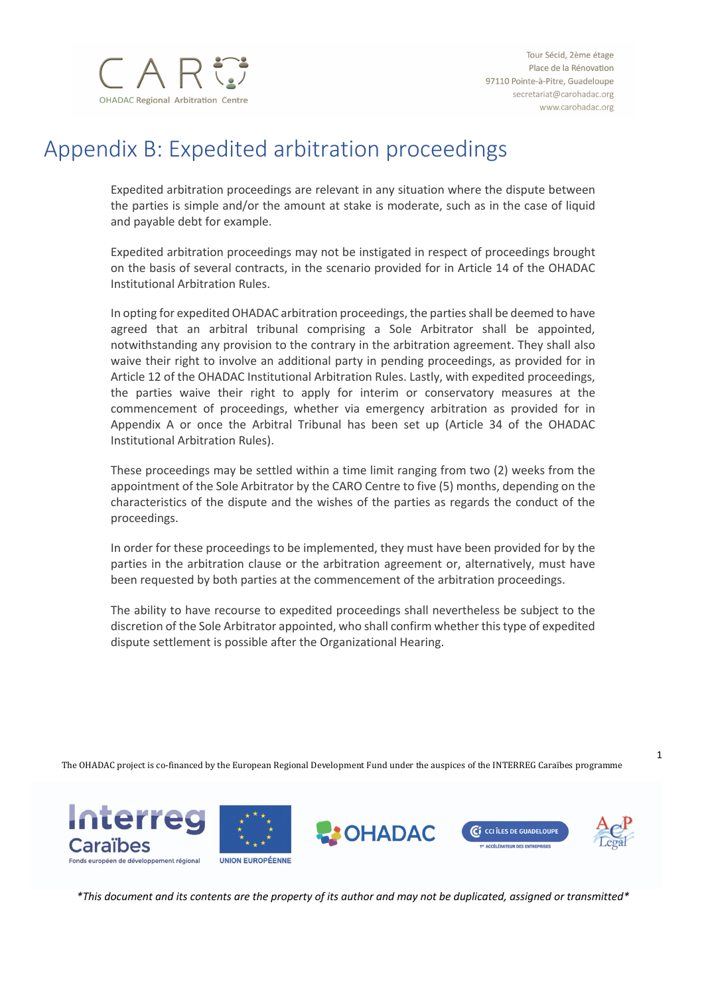

1

# Appendix B: Expedited arbitration proceedings

Expedited arbitration proceedings are relevant in any situation where the dispute between the parties is simple and/or the amount at stake is moderate, such as in the case of liquid and payable debt for example.

Expedited arbitration proceedings may not be instigated in respect of proceedings brought on the basis of several contracts, in the scenario provided for in Article 14 of the OHADAC Institutional Arbitration Rules.

In opting for expedited OHADAC arbitration proceedings, the parties shall be deemed to have agreed that an arbitral tribunal comprising a Sole Arbitrator shall be appointed, notwithstanding any provision to the contrary in the arbitration agreement. They shall also waive their right to involve an additional party in pending proceedings, as provided for in Article 12 of the OHADAC Institutional Arbitration Rules. Lastly, with expedited proceedings, the parties waive their right to apply for interim or conservatory measures at the commencement of proceedings, whether via emergency arbitration as provided for in Appendix A or once the Arbitral Tribunal has been set up (Article 34 of the OHADAC Institutional Arbitration Rules).

These proceedings may be settled within a time limit ranging from two (2) weeks from the appointment of the Sole Arbitrator by the CARO Centre to five (5) months, depending on the characteristics of the dispute and the wishes of the parties as regards the conduct of the proceedings.

In order for these proceedings to be implemented, they must have been provided for by the parties in the arbitration clause or the arbitration agreement or, alternatively, must have been requested by both parties at the commencement of the arbitration proceedings.

The ability to have recourse to expedited proceedings shall nevertheless be subject to the discretion of the Sole Arbitrator appointed, who shall confirm whether this type of expedited dispute settlement is possible after the Organizational Hearing.

The OHADAC project is co-financed by the European Regional Development Fund under the auspices of the INTERREG Caraïbes programme

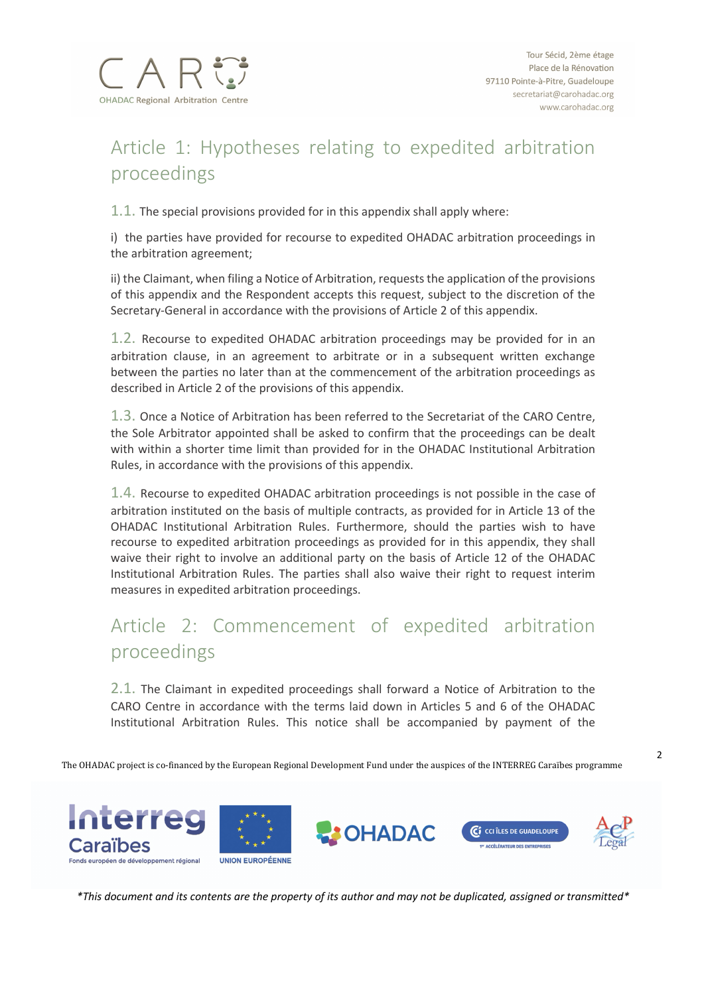

# Article 1: Hypotheses relating to expedited arbitration proceedings

1.1. The special provisions provided for in this appendix shall apply where:

i) the parties have provided for recourse to expedited OHADAC arbitration proceedings in the arbitration agreement;

ii) the Claimant, when filing a Notice of Arbitration, requests the application of the provisions of this appendix and the Respondent accepts this request, subject to the discretion of the Secretary-General in accordance with the provisions of Article 2 of this appendix.

1.2. Recourse to expedited OHADAC arbitration proceedings may be provided for in an arbitration clause, in an agreement to arbitrate or in a subsequent written exchange between the parties no later than at the commencement of the arbitration proceedings as described in Article 2 of the provisions of this appendix.

1.3. Once a Notice of Arbitration has been referred to the Secretariat of the CARO Centre, the Sole Arbitrator appointed shall be asked to confirm that the proceedings can be dealt with within a shorter time limit than provided for in the OHADAC Institutional Arbitration Rules, in accordance with the provisions of this appendix.

1.4. Recourse to expedited OHADAC arbitration proceedings is not possible in the case of arbitration instituted on the basis of multiple contracts, as provided for in Article 13 of the OHADAC Institutional Arbitration Rules. Furthermore, should the parties wish to have recourse to expedited arbitration proceedings as provided for in this appendix, they shall waive their right to involve an additional party on the basis of Article 12 of the OHADAC Institutional Arbitration Rules. The parties shall also waive their right to request interim measures in expedited arbitration proceedings.

### Article 2: Commencement of expedited arbitration proceedings

2.1. The Claimant in expedited proceedings shall forward a Notice of Arbitration to the CARO Centre in accordance with the terms laid down in Articles 5 and 6 of the OHADAC Institutional Arbitration Rules. This notice shall be accompanied by payment of the

The OHADAC project is co-financed by the European Regional Development Fund under the auspices of the INTERREG Caraïbes programme

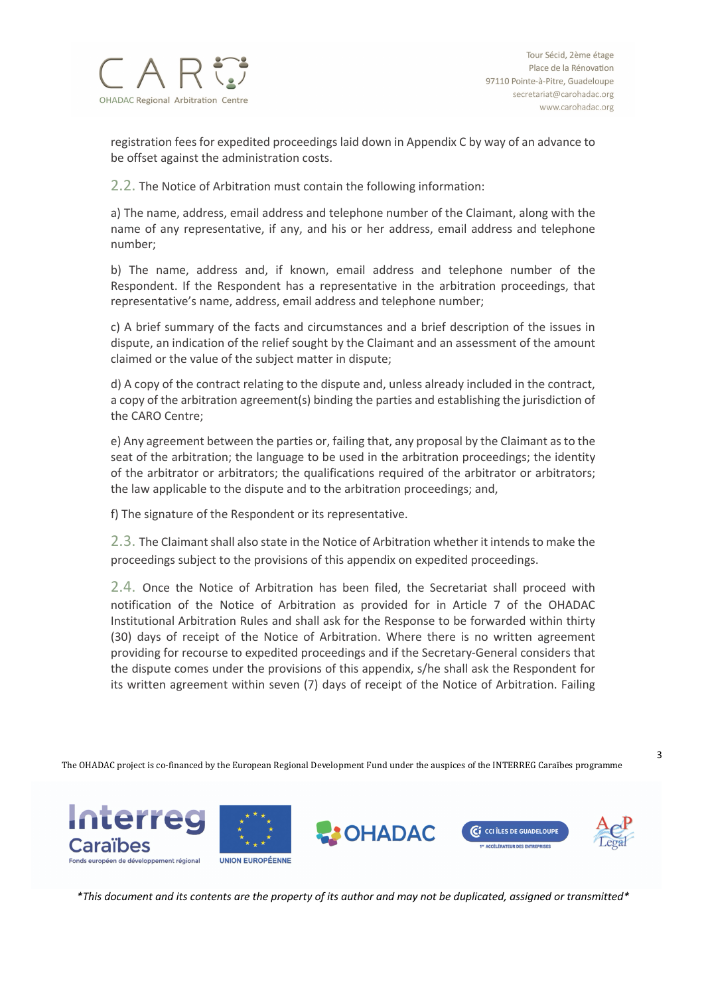

registration fees for expedited proceedings laid down in Appendix C by way of an advance to be offset against the administration costs.

2.2. The Notice of Arbitration must contain the following information:

a) The name, address, email address and telephone number of the Claimant, along with the name of any representative, if any, and his or her address, email address and telephone number;

b) The name, address and, if known, email address and telephone number of the Respondent. If the Respondent has a representative in the arbitration proceedings, that representative's name, address, email address and telephone number;

c) A brief summary of the facts and circumstances and a brief description of the issues in dispute, an indication of the relief sought by the Claimant and an assessment of the amount claimed or the value of the subject matter in dispute;

d) A copy of the contract relating to the dispute and, unless already included in the contract, a copy of the arbitration agreement(s) binding the parties and establishing the jurisdiction of the CARO Centre;

e) Any agreement between the parties or, failing that, any proposal by the Claimant as to the seat of the arbitration; the language to be used in the arbitration proceedings; the identity of the arbitrator or arbitrators; the qualifications required of the arbitrator or arbitrators; the law applicable to the dispute and to the arbitration proceedings; and,

f) The signature of the Respondent or its representative.

2.3. The Claimant shall also state in the Notice of Arbitration whether it intends to make the proceedings subject to the provisions of this appendix on expedited proceedings.

2.4. Once the Notice of Arbitration has been filed, the Secretariat shall proceed with notification of the Notice of Arbitration as provided for in Article 7 of the OHADAC Institutional Arbitration Rules and shall ask for the Response to be forwarded within thirty (30) days of receipt of the Notice of Arbitration. Where there is no written agreement providing for recourse to expedited proceedings and if the Secretary-General considers that the dispute comes under the provisions of this appendix, s/he shall ask the Respondent for its written agreement within seven (7) days of receipt of the Notice of Arbitration. Failing

The OHADAC project is co-financed by the European Regional Development Fund under the auspices of the INTERREG Caraïbes programme

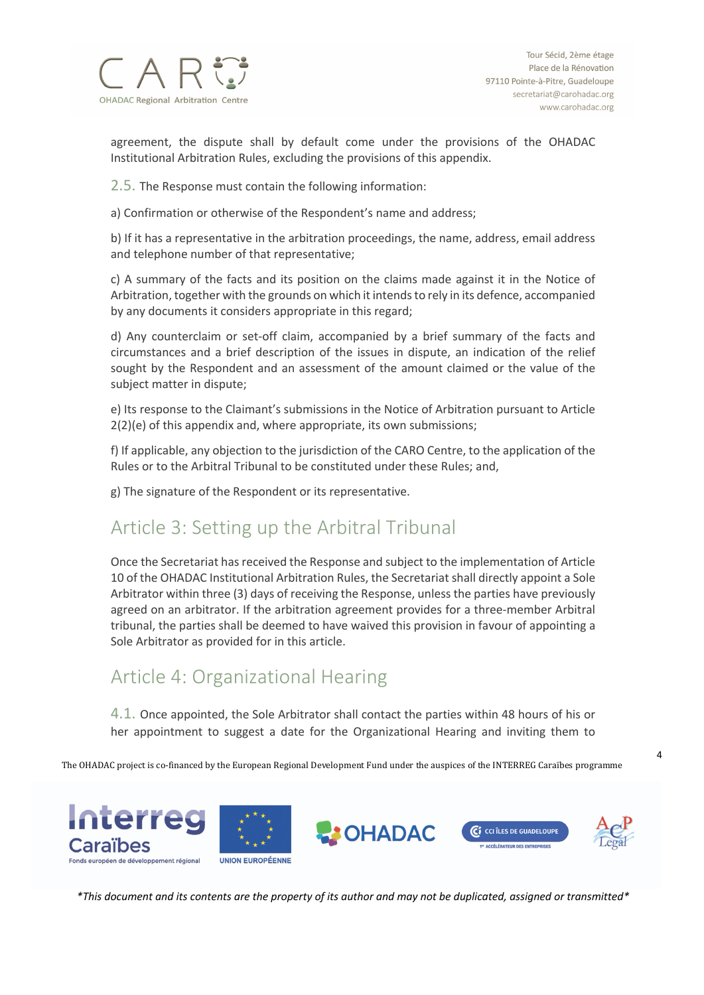

4

agreement, the dispute shall by default come under the provisions of the OHADAC Institutional Arbitration Rules, excluding the provisions of this appendix.

2.5. The Response must contain the following information:

a) Confirmation or otherwise of the Respondent's name and address;

b) If it has a representative in the arbitration proceedings, the name, address, email address and telephone number of that representative;

c) A summary of the facts and its position on the claims made against it in the Notice of Arbitration, together with the grounds on which it intends to rely in its defence, accompanied by any documents it considers appropriate in this regard;

d) Any counterclaim or set-off claim, accompanied by a brief summary of the facts and circumstances and a brief description of the issues in dispute, an indication of the relief sought by the Respondent and an assessment of the amount claimed or the value of the subject matter in dispute;

e) Its response to the Claimant's submissions in the Notice of Arbitration pursuant to Article 2(2)(e) of this appendix and, where appropriate, its own submissions;

f) If applicable, any objection to the jurisdiction of the CARO Centre, to the application of the Rules or to the Arbitral Tribunal to be constituted under these Rules; and,

g) The signature of the Respondent or its representative.

#### Article 3: Setting up the Arbitral Tribunal

Once the Secretariat has received the Response and subject to the implementation of Article 10 of the OHADAC Institutional Arbitration Rules, the Secretariat shall directly appoint a Sole Arbitrator within three (3) days of receiving the Response, unless the parties have previously agreed on an arbitrator. If the arbitration agreement provides for a three-member Arbitral tribunal, the parties shall be deemed to have waived this provision in favour of appointing a Sole Arbitrator as provided for in this article.

#### Article 4: Organizational Hearing

4.1. Once appointed, the Sole Arbitrator shall contact the parties within 48 hours of his or her appointment to suggest a date for the Organizational Hearing and inviting them to

The OHADAC project is co-financed by the European Regional Development Fund under the auspices of the INTERREG Caraïbes programme

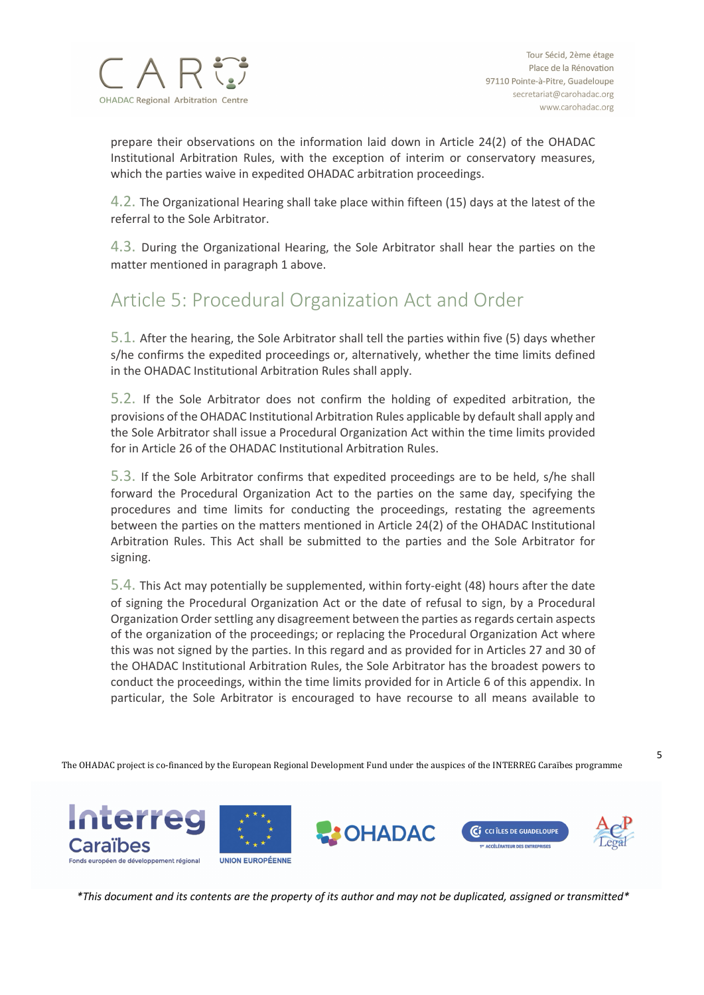

prepare their observations on the information laid down in Article 24(2) of the OHADAC Institutional Arbitration Rules, with the exception of interim or conservatory measures, which the parties waive in expedited OHADAC arbitration proceedings.

4.2. The Organizational Hearing shall take place within fifteen (15) days at the latest of the referral to the Sole Arbitrator.

4.3. During the Organizational Hearing, the Sole Arbitrator shall hear the parties on the matter mentioned in paragraph 1 above.

### Article 5: Procedural Organization Act and Order

5.1. After the hearing, the Sole Arbitrator shall tell the parties within five (5) days whether s/he confirms the expedited proceedings or, alternatively, whether the time limits defined in the OHADAC Institutional Arbitration Rules shall apply.

5.2. If the Sole Arbitrator does not confirm the holding of expedited arbitration, the provisions of the OHADAC Institutional Arbitration Rules applicable by default shall apply and the Sole Arbitrator shall issue a Procedural Organization Act within the time limits provided for in Article 26 of the OHADAC Institutional Arbitration Rules.

5.3. If the Sole Arbitrator confirms that expedited proceedings are to be held, s/he shall forward the Procedural Organization Act to the parties on the same day, specifying the procedures and time limits for conducting the proceedings, restating the agreements between the parties on the matters mentioned in Article 24(2) of the OHADAC Institutional Arbitration Rules. This Act shall be submitted to the parties and the Sole Arbitrator for signing.

5.4. This Act may potentially be supplemented, within forty-eight (48) hours after the date of signing the Procedural Organization Act or the date of refusal to sign, by a Procedural Organization Order settling any disagreement between the parties as regards certain aspects of the organization of the proceedings; or replacing the Procedural Organization Act where this was not signed by the parties. In this regard and as provided for in Articles 27 and 30 of the OHADAC Institutional Arbitration Rules, the Sole Arbitrator has the broadest powers to conduct the proceedings, within the time limits provided for in Article 6 of this appendix. In particular, the Sole Arbitrator is encouraged to have recourse to all means available to

The OHADAC project is co-financed by the European Regional Development Fund under the auspices of the INTERREG Caraïbes programme